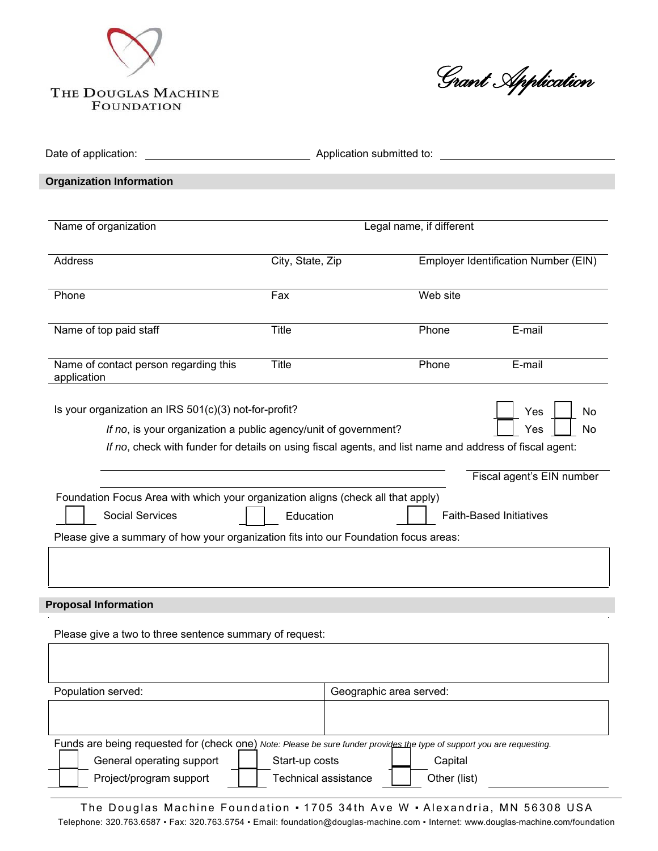

*Grant Application* 

| Date of application:<br>Application submitted to:                                                                                                                                                                                                                                                             |                                               |                         |                         |                                                             |  |
|---------------------------------------------------------------------------------------------------------------------------------------------------------------------------------------------------------------------------------------------------------------------------------------------------------------|-----------------------------------------------|-------------------------|-------------------------|-------------------------------------------------------------|--|
| <b>Organization Information</b>                                                                                                                                                                                                                                                                               |                                               |                         |                         |                                                             |  |
| Name of organization                                                                                                                                                                                                                                                                                          | Legal name, if different                      |                         |                         |                                                             |  |
| <b>Address</b>                                                                                                                                                                                                                                                                                                | City, State, Zip                              |                         |                         | <b>Employer Identification Number (EIN)</b>                 |  |
| Phone                                                                                                                                                                                                                                                                                                         | Fax                                           |                         | Web site                |                                                             |  |
| Name of top paid staff                                                                                                                                                                                                                                                                                        | Title                                         |                         | Phone                   | E-mail                                                      |  |
| Name of contact person regarding this<br>application                                                                                                                                                                                                                                                          | Title                                         |                         | Phone                   | E-mail                                                      |  |
| If no, check with funder for details on using fiscal agents, and list name and address of fiscal agent:<br>Foundation Focus Area with which your organization aligns (check all that apply)<br><b>Social Services</b><br>Please give a summary of how your organization fits into our Foundation focus areas: | Education                                     |                         |                         | Fiscal agent's EIN number<br><b>Faith-Based Initiatives</b> |  |
| <b>Proposal Information</b>                                                                                                                                                                                                                                                                                   |                                               |                         |                         |                                                             |  |
| Please give a two to three sentence summary of request:                                                                                                                                                                                                                                                       |                                               |                         |                         |                                                             |  |
| Population served:                                                                                                                                                                                                                                                                                            |                                               | Geographic area served: |                         |                                                             |  |
| Funds are being requested for (check one) Note: Please be sure funder provides the type of support you are requesting.<br>General operating support<br>Project/program support                                                                                                                                | Start-up costs<br><b>Technical assistance</b> |                         | Capital<br>Other (list) |                                                             |  |

The Douglas Machine Foundation • 1705 34th Ave W • Alexandria, MN 56308 USA Telephone: 320.763.6587 ▪ Fax: 320.763.5754 ▪ Email: foundation@douglas-machine.com ▪ Internet: www.douglas-machine.com/foundation